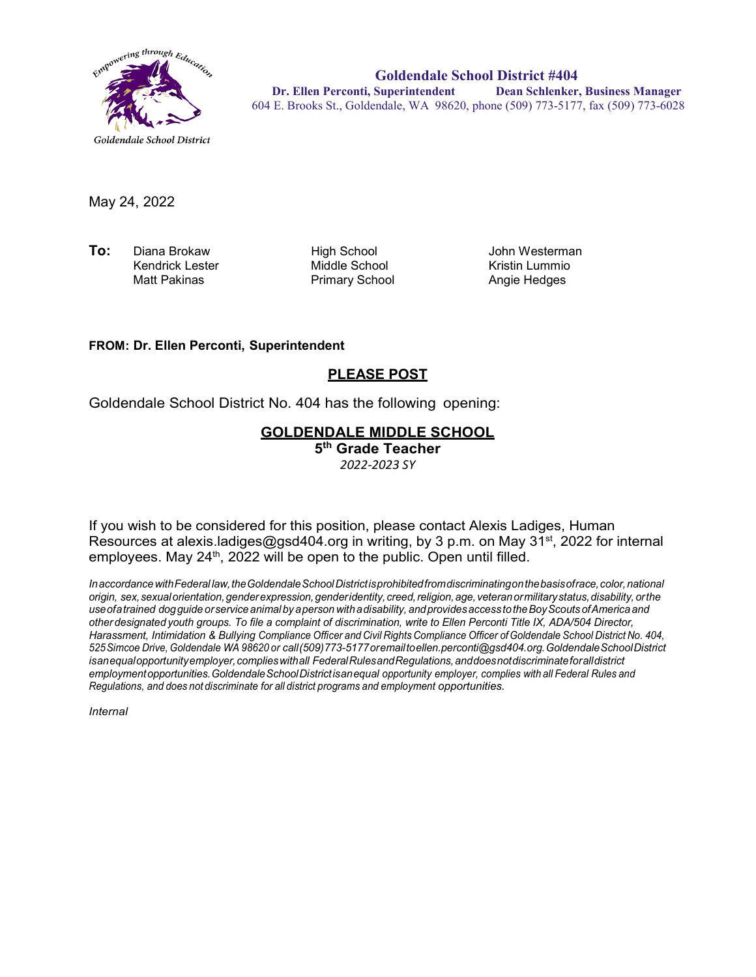

**Goldendale School District #404 Dr. Ellen Perconti, Superintendent Dean Schlenker, Business Manager** 604 E. Brooks St., Goldendale, WA 98620, phone (509) 773-5177, fax (509) 773-6028

May 24, 2022

**To:** Diana Brokaw High School John Westerman Kendrick Lester Middle School Kristin Lummio

Primary School

#### **FROM: Dr. Ellen Perconti, Superintendent**

### **PLEASE POST**

Goldendale School District No. 404 has the following opening:

### **GOLDENDALE MIDDLE SCHOOL**

**5th Grade Teacher** *2022-2023 SY*

If you wish to be considered for this position, please contact Alexis Ladiges, Human Resources at alexis.ladiges@gsd404.org in writing, by 3 p.m. on May 31<sup>st</sup>, 2022 for internal employees. May 24<sup>th</sup>, 2022 will be open to the public. Open until filled.

*InaccordancewithFederal law,theGoldendaleSchoolDistrictisprohibitedfromdiscriminatingonthebasisofrace,color,national origin, sex,sexualorientation,genderexpression,genderidentity, creed,religion,age, veteranormilitarystatus,disability, orthe useofatrained dogguide orservice animal by aperson withadisability, andprovidesaccess totheBoyScouts ofAmerica and other designated youth groups. To file a complaint of discrimination, write to Ellen Perconti Title IX, ADA/504 Director, Harassment, Intimidation & Bullying Compliance Officer and Civil Rights Compliance Officer ofGoldendale School District No. 404, 525Simcoe Drive, Goldendale WA 98620 or call(509)773-5177oremailt[oellen.perconti@gsd404.org.G](mailto:ellen.perconti@gsd404.org)oldendaleSchoolDistrict isanequalopportunityemployer,complieswithall FederalRulesandRegulations,anddoesnotdiscriminateforalldistrict employmentopportunities.GoldendaleSchoolDistrictisanequal opportunity employer, complies with all Federal Rules and Regulations, and does not discriminate for all district programs and employment opportunities.*

*Internal*